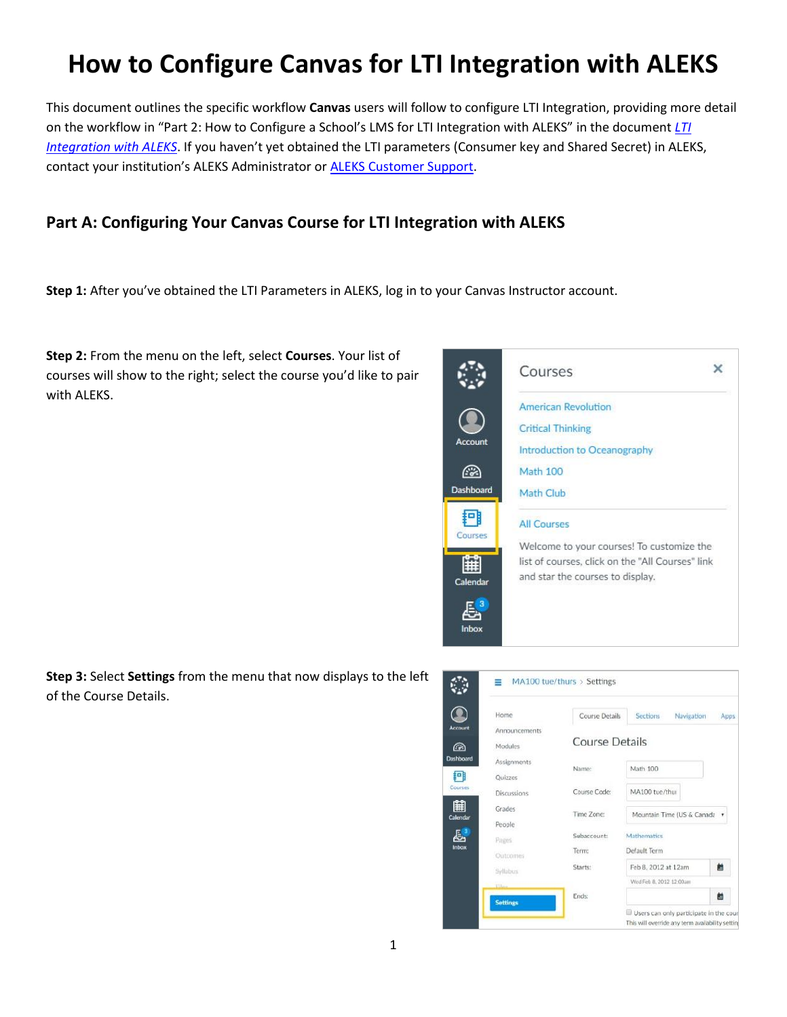# **How to Configure Canvas for LTI Integration with ALEKS**

This document outlines the specific workflow **Canvas** users will follow to configure LTI Integration, providing more detail on the workflow in "Part 2: How to Configure a School's LMS for LTI Integration with ALEKS" in the document *[LTI](https://www.aleks.com/highered/Enabling_LMS_and_Gradebook_Integration.pdf)  [Integration with ALEKS](https://www.aleks.com/highered/Enabling_LMS_and_Gradebook_Integration.pdf)*. If you haven't yet obtained the LTI parameters (Consumer key and Shared Secret) in ALEKS, contact your institution's ALEKS Administrator or [ALEKS Customer Support.](https://www.aleks.com/support/form/)

## **Part A: Configuring Your Canvas Course for LTI Integration with ALEKS**

**Step 1:** After you've obtained the LTI Parameters in ALEKS, log in to your Canvas Instructor account.

**Step 2:** From the menu on the left, select **Courses**. Your list of courses will show to the right; select the course you'd like to pair with ALEKS.



**Step 3:** Select **Settings** from the menu that now displays to the left of the Course Details.

| Announcements<br><b>Course Details</b><br>Modules<br><b>Assignments</b><br>Math 100<br>Name:<br><b>Quizzes</b><br>MA100 tue/thui<br>Course Code:<br><b>Discussions</b><br>Grades<br>Time Zone:<br>Mountain Time (US & Canada v<br>People<br>Subaccount:<br>Mathematics<br>Pages<br>Default Term<br>Term:<br>Outcomes<br>Starts:<br>Feb 8, 2012 at 12am<br>Syllabus<br>Wed Feb 8, 2012 12:00am<br>ESIL | Home | <b>Course Details</b> | Sections<br>Navigation | Apps |
|-------------------------------------------------------------------------------------------------------------------------------------------------------------------------------------------------------------------------------------------------------------------------------------------------------------------------------------------------------------------------------------------------------|------|-----------------------|------------------------|------|
|                                                                                                                                                                                                                                                                                                                                                                                                       |      |                       |                        |      |
|                                                                                                                                                                                                                                                                                                                                                                                                       |      |                       |                        |      |
|                                                                                                                                                                                                                                                                                                                                                                                                       |      |                       |                        |      |
|                                                                                                                                                                                                                                                                                                                                                                                                       |      |                       |                        |      |
|                                                                                                                                                                                                                                                                                                                                                                                                       |      |                       |                        |      |
|                                                                                                                                                                                                                                                                                                                                                                                                       |      |                       |                        |      |
|                                                                                                                                                                                                                                                                                                                                                                                                       |      |                       |                        |      |
|                                                                                                                                                                                                                                                                                                                                                                                                       |      |                       |                        |      |
|                                                                                                                                                                                                                                                                                                                                                                                                       |      |                       |                        |      |
|                                                                                                                                                                                                                                                                                                                                                                                                       |      |                       |                        | 齝    |
|                                                                                                                                                                                                                                                                                                                                                                                                       |      |                       |                        |      |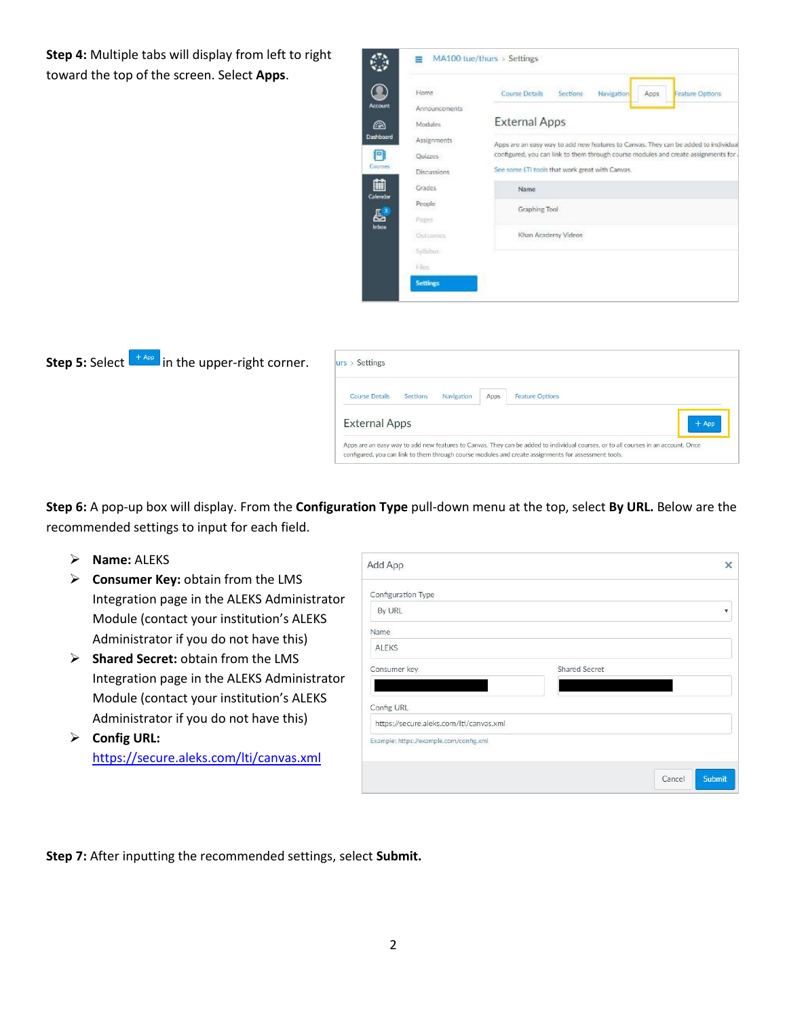**Step 4:** Multiple tabs will display from left to right toward the top of the screen. Select **Apps**.

| Home            | <b>Course Details</b><br>Sections<br>Navigation<br>Feature Options<br>Apps          |
|-----------------|-------------------------------------------------------------------------------------|
| Announcements   |                                                                                     |
| Modules         | <b>External Apps</b>                                                                |
| Assignments     | Apps are an easy way to add new features to Canvas. They can be added to individual |
| <b>Quizzes</b>  | configured, you can link to them through course modules and create assignments for  |
| Discussions     | See some LTI tools that work great with Canvas.                                     |
| Grades          | <b>Name</b>                                                                         |
| People.         | Graphing Tool                                                                       |
| Pages:          |                                                                                     |
| Outcomes        | Khan Academy Videos                                                                 |
| Sylbbus         |                                                                                     |
| Files.          |                                                                                     |
| <b>Settings</b> |                                                                                     |



| <b>Course Details</b> | Sections | Navigation | Apps | <b>Feature Options</b> |
|-----------------------|----------|------------|------|------------------------|
| <b>External Apps</b>  |          |            |      | $+$ App                |

**Step 6:** A pop-up box will display. From the **Configuration Type** pull-down menu at the top, select **By URL.** Below are the recommended settings to input for each field.

- **Name:** ALEKS
- **Consumer Key:** obtain from the LMS Integration page in the ALEKS Administrator Module (contact your institution's ALEKS Administrator if you do not have this)
- **Shared Secret:** obtain from the LMS Integration page in the ALEKS Administrator Module (contact your institution's ALEKS Administrator if you do not have this)
- **Config URL:** <https://secure.aleks.com/lti/canvas.xml>

| Add App                                 | ×                        |
|-----------------------------------------|--------------------------|
| Configuration Type                      |                          |
| By URL                                  | $\overline{\phantom{a}}$ |
| Name                                    |                          |
| ALEKS                                   |                          |
| Consumer key                            | Shared Secret            |
|                                         |                          |
| Config URL                              |                          |
| https://secure.aleks.com/lti/canvas.xml |                          |
| Example: https://example.com/config.xml |                          |

**Step 7:** After inputting the recommended settings, select **Submit.**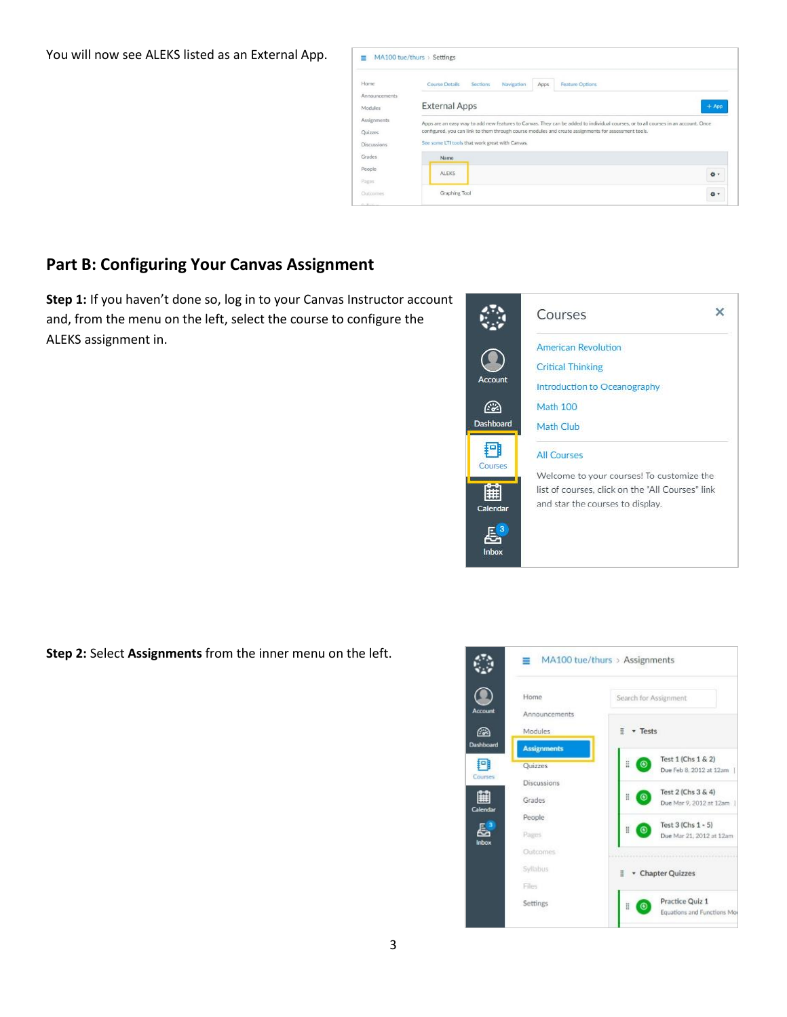You will now see ALEKS listed as an External App.



#### **Part B: Configuring Your Canvas Assignment**

**Step 1:** If you haven't done so, log in to your Canvas Instructor account and, from the menu on the left, select the course to configure the ALEKS assignment in.



**Step 2:** Select **Assignments** from the inner menu on the left.

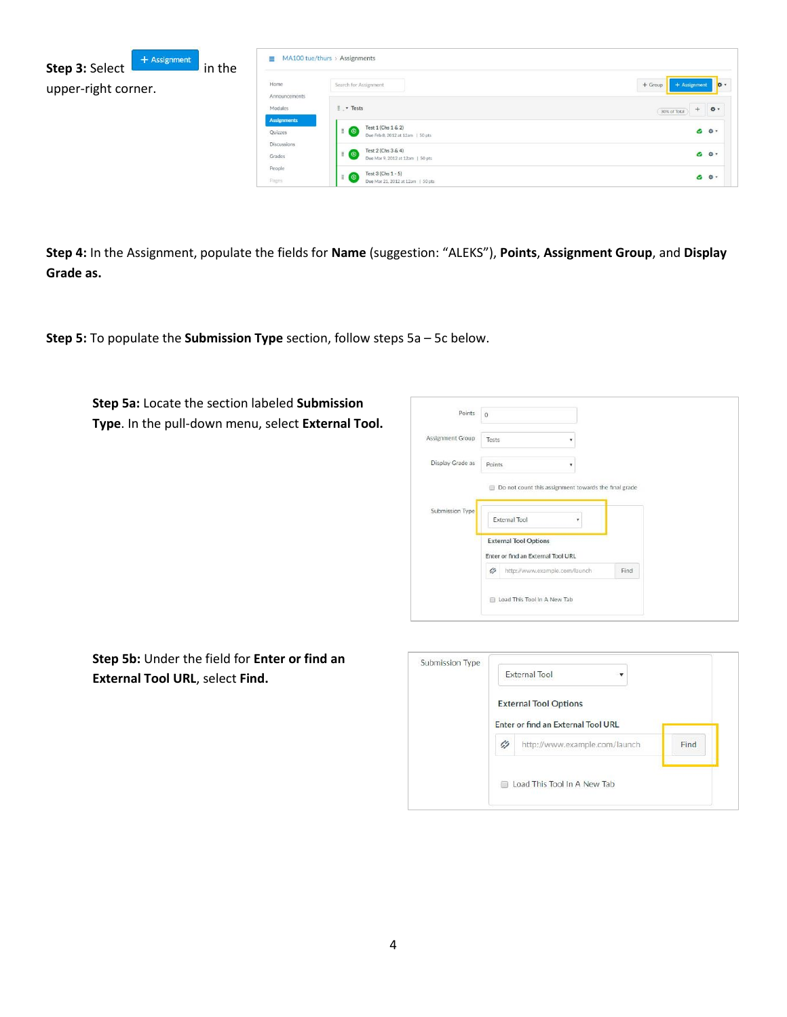

**Step 4:** In the Assignment, populate the fields for **Name** (suggestion: "ALEKS"), **Points**, **Assignment Group**, and **Display Grade as.**

**Step 5:** To populate the **Submission Type** section, follow steps 5a – 5c below.

**Step 5a:** Locate the section labeled **Submission Type**. In the pull-down menu, select **External Tool.**

| Points           | $\Omega$ |                                                                    |   |      |  |
|------------------|----------|--------------------------------------------------------------------|---|------|--|
| Assignment Group | Tests    |                                                                    | ۷ |      |  |
| Display Grade as | Points   |                                                                    |   |      |  |
|                  |          | Do not count this assignment towards the final grade               |   |      |  |
| Submission Type  |          | <b>External Tool</b>                                               | ٠ |      |  |
|                  |          | <b>External Tool Options</b><br>Enter or find an External Tool URL |   |      |  |
|                  | Ø        | http://www.example.com/launch                                      |   | Find |  |
|                  | 田        | Load This Tool In A New Tab                                        |   |      |  |

**Step 5b:** Under the field for **Enter or find an External Tool URL**, select **Find.**

|                             | <b>External Tool</b>               |  |      |  |
|-----------------------------|------------------------------------|--|------|--|
|                             | <b>External Tool Options</b>       |  |      |  |
|                             | Enter or find an External Tool URL |  |      |  |
| $\ell_2$                    | http://www.example.com/launch      |  | Find |  |
| Load This Tool In A New Tab |                                    |  |      |  |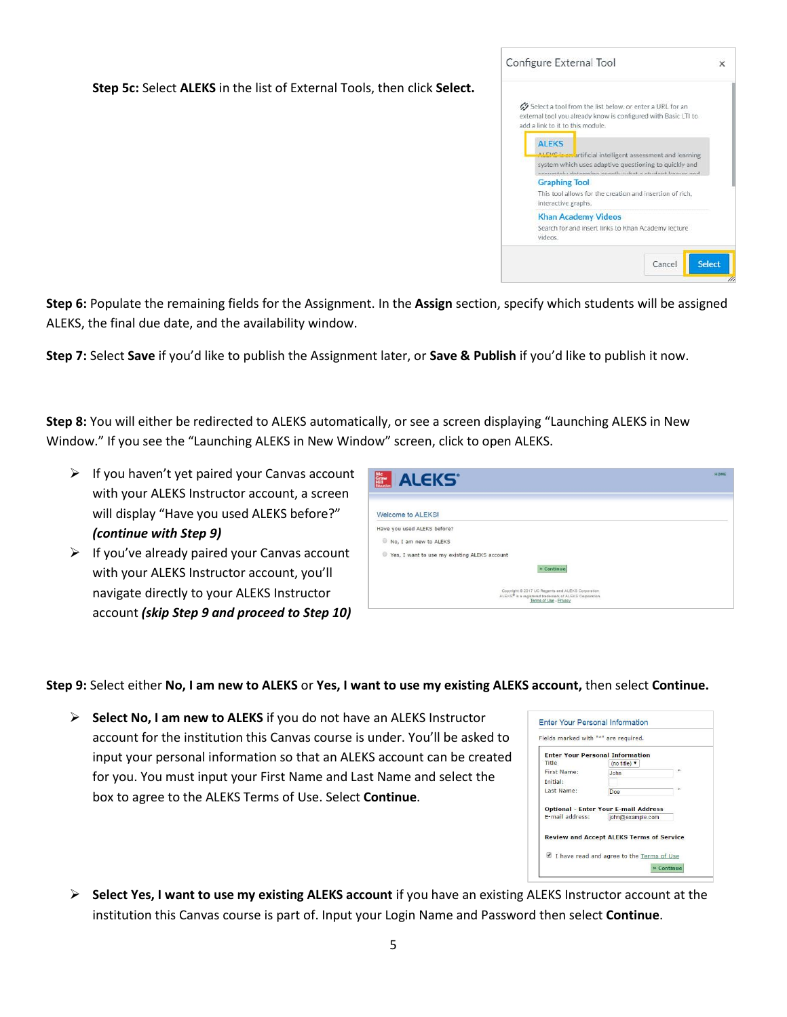**Step 5c:** Select **ALEKS** in the list of External Tools, then click **Select.**



**Step 6:** Populate the remaining fields for the Assignment. In the **Assign** section, specify which students will be assigned ALEKS, the final due date, and the availability window.

**Step 7:** Select **Save** if you'd like to publish the Assignment later, or **Save & Publish** if you'd like to publish it now.

**Step 8:** You will either be redirected to ALEKS automatically, or see a screen displaying "Launching ALEKS in New Window." If you see the "Launching ALEKS in New Window" screen, click to open ALEKS.

- $\triangleright$  If you haven't yet paired your Canvas account with your ALEKS Instructor account, a screen will display "Have you used ALEKS before?" *(continue with Step 9)*
- $\triangleright$  If you've already paired your Canvas account with your ALEKS Instructor account, you'll navigate directly to your ALEKS Instructor account *(skip Step 9 and proceed to Step 10)*

| <b>ALEKS</b>                                                                                 | HOME |
|----------------------------------------------------------------------------------------------|------|
| Welcome to ALEKS!                                                                            |      |
| Have you used ALEKS before?                                                                  |      |
| No. I am new to ALEKS                                                                        |      |
| Yes, I want to use my existing ALEKS account                                                 |      |
| » Continue                                                                                   |      |
| Copyright @ 2017 UC Regents and ALEKS Corporation                                            |      |
| ALEKS <sup>®</sup> is a registered trademark of ALEKS Corporation.<br>Terms of Use - Privacy |      |

**Step 9:** Select either **No, I am new to ALEKS** or **Yes, I want to use my existing ALEKS account,** then select **Continue.**

 **Select No, I am new to ALEKS** if you do not have an ALEKS Instructor account for the institution this Canvas course is under. You'll be asked to input your personal information so that an ALEKS account can be created for you. You must input your First Name and Last Name and select the box to agree to the ALEKS Terms of Use. Select **Continue**.

| <b>Enter Your Personal Information</b> |                                                                 |   |
|----------------------------------------|-----------------------------------------------------------------|---|
| Title                                  | (no title) $v$                                                  |   |
| First Name:                            | John.                                                           | * |
| Initial:                               |                                                                 |   |
| Last Name:                             | Doe                                                             | × |
| E-mail address:                        | <b>Optional - Enter Your E-mail Address</b><br>john@example.com |   |
|                                        |                                                                 |   |

 **Select Yes, I want to use my existing ALEKS account** if you have an existing ALEKS Instructor account at the institution this Canvas course is part of. Input your Login Name and Password then select **Continue**.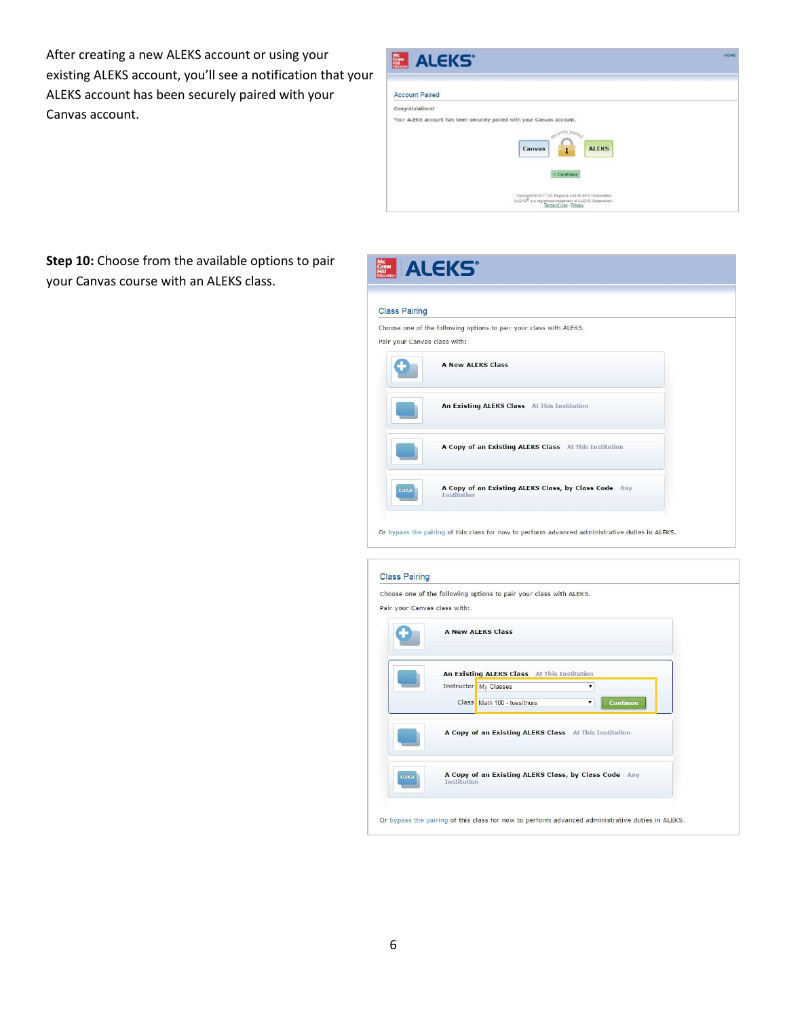After creating a new ALEKS account or using your existing ALEKS account, you'll see a notification that your ALEKS account has been securely paired with your Canvas account.

| Mc<br>Graw<br>Hill<br>Idecates<br><b>ALEKS</b>                                                                                                     | <b>NOME</b> |
|----------------------------------------------------------------------------------------------------------------------------------------------------|-------------|
| <b>Account Paired</b>                                                                                                                              |             |
| Congratulations!<br>Your ALEKS account has been securely paired with your Canvas account.<br>acurely paire<br><b>ALEKS</b><br>Canvas<br>» Continue |             |
| Copyright @ 2017 UC Regents and ALEKS Corporation<br>ALEKS <sup>®</sup> is a registered trademark of ALEKS Corporation.<br>Terms of Use - Privacy  |             |

**Step 10:** Choose from the available options to pair your Canvas course with an ALEKS class.

| <b>Class Pairing</b>         |                                                                    |
|------------------------------|--------------------------------------------------------------------|
| Pair your Canvas class with: | Choose one of the following options to pair your class with ALEKS. |
|                              | <b>A New ALEKS Class</b>                                           |
|                              | An Existing ALEKS Class At This Institution                        |
|                              | A Copy of an Existing ALEKS Class At This Institution              |

Or bypass the pairing of this class for now to perform advanced administrative duties in ALEKS.

|                 | Choose one of the following options to pair your class with ALEKS.<br>Pair your Canvas class with:                                                                                                                   |
|-----------------|----------------------------------------------------------------------------------------------------------------------------------------------------------------------------------------------------------------------|
|                 | <b>A New ALEKS Class</b>                                                                                                                                                                                             |
|                 | An Existing ALEKS Class At This Institution<br>Instructor My Classes<br>$\pmb{\mathrm{v}}$<br>Class Math 100 - tues/thurs<br>Continue<br>$\pmb{\mathrm{v}}$<br>A Copy of an Existing ALEKS Class At This Institution |
| <b>CALL AND</b> | A Copy of an Existing ALEKS Class, by Class Code Any<br><b>Institution</b>                                                                                                                                           |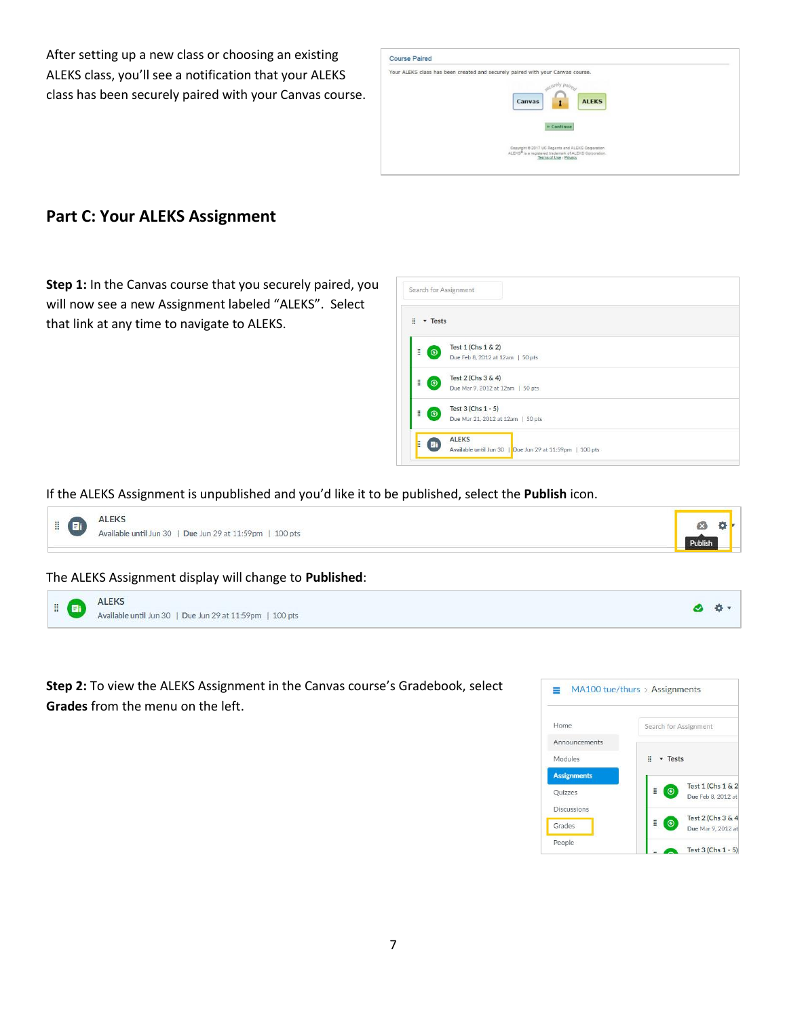After setting up a new class or choosing an existing ALEKS class, you'll see a notification that your ALEKS class has been securely paired with your Canvas course.



### **Part C: Your ALEKS Assignment**

**Step 1:** In the Canvas course that you securely paired, you will now see a new Assignment labeled "ALEKS". Select that link at any time to navigate to ALEKS.

| H<br><b>v</b> Tests |                                   |  |
|---------------------|-----------------------------------|--|
| H                   | Test 1 (Chs 1 & 2)                |  |
| $\odot$             | Due Feb 8, 2012 at 12am   50 pts  |  |
| Ë<br>$\odot$        | Test 2 (Chs 3 & 4)                |  |
|                     | Due Mar 9, 2012 at 12am   50 pts  |  |
| H<br>$\Theta$       | Test 3 (Chs 1 - 5)                |  |
|                     | Due Mar 21, 2012 at 12am   50 pts |  |
|                     | <b>ALEKS</b>                      |  |

#### If the ALEKS Assignment is unpublished and you'd like it to be published, select the **Publish** icon.



#### The ALEKS Assignment display will change to **Published**:

| <b>ALEKS</b><br>ä.<br>.<br>Available until Jun 30   Due Jun 29 at 11:59pm   100 pts |  |
|-------------------------------------------------------------------------------------|--|
|-------------------------------------------------------------------------------------|--|

**Step 2:** To view the ALEKS Assignment in the Canvas course's Gradebook, select **Grades** from the menu on the left.